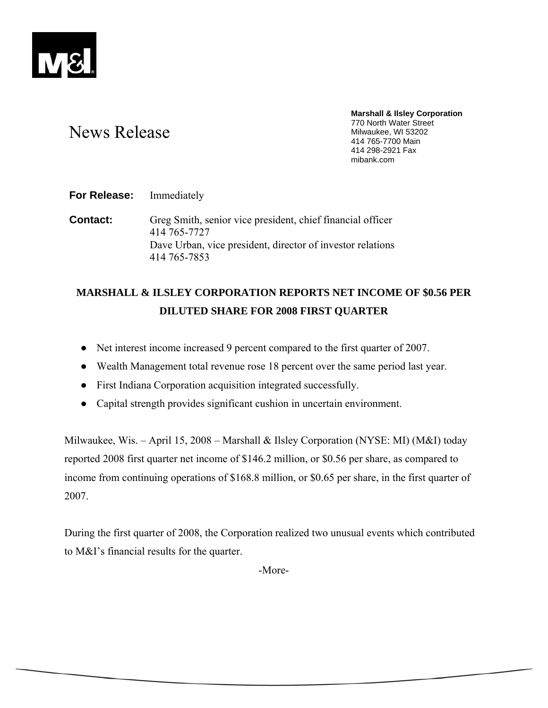

# News Release

**Marshall & Ilsley Corporation**  770 North Water Street Milwaukee, WI 53202 414 765-7700 Main 414 298-2921 Fax mibank.com

**For Release:** Immediately

**Contact:** Greg Smith, senior vice president, chief financial officer 414 765-7727 Dave Urban, vice president, director of investor relations 414 765-7853

## **MARSHALL & ILSLEY CORPORATION REPORTS NET INCOME OF \$0.56 PER DILUTED SHARE FOR 2008 FIRST QUARTER**

- Net interest income increased 9 percent compared to the first quarter of 2007.
- Wealth Management total revenue rose 18 percent over the same period last year.
- First Indiana Corporation acquisition integrated successfully.
- Capital strength provides significant cushion in uncertain environment.

Milwaukee, Wis. – April 15, 2008 – Marshall & Ilsley Corporation (NYSE: MI) (M&I) today reported 2008 first quarter net income of \$146.2 million, or \$0.56 per share, as compared to income from continuing operations of \$168.8 million, or \$0.65 per share, in the first quarter of 2007.

During the first quarter of 2008, the Corporation realized two unusual events which contributed to M&I's financial results for the quarter.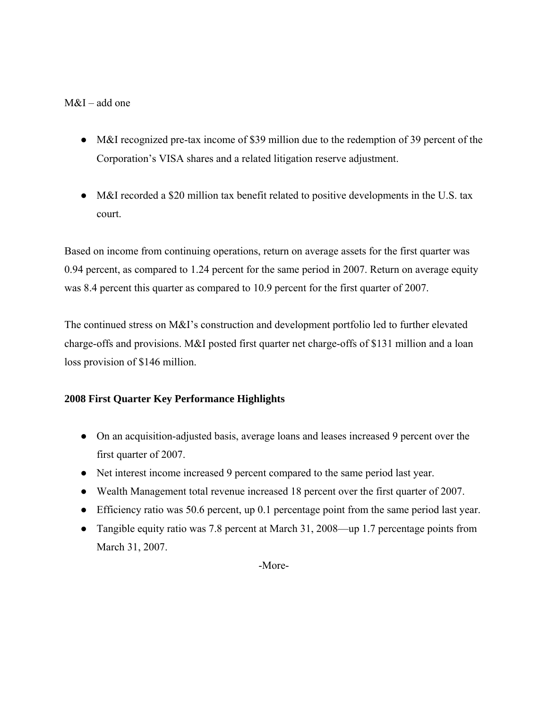## M&I – add one

- M&I recognized pre-tax income of \$39 million due to the redemption of 39 percent of the Corporation's VISA shares and a related litigation reserve adjustment.
- M&I recorded a \$20 million tax benefit related to positive developments in the U.S. tax court.

Based on income from continuing operations, return on average assets for the first quarter was 0.94 percent, as compared to 1.24 percent for the same period in 2007. Return on average equity was 8.4 percent this quarter as compared to 10.9 percent for the first quarter of 2007.

The continued stress on M&I's construction and development portfolio led to further elevated charge-offs and provisions. M&I posted first quarter net charge-offs of \$131 million and a loan loss provision of \$146 million.

## **2008 First Quarter Key Performance Highlights**

- On an acquisition-adjusted basis, average loans and leases increased 9 percent over the first quarter of 2007.
- Net interest income increased 9 percent compared to the same period last year.
- Wealth Management total revenue increased 18 percent over the first quarter of 2007.
- Efficiency ratio was 50.6 percent, up 0.1 percentage point from the same period last year.
- Tangible equity ratio was 7.8 percent at March 31, 2008—up 1.7 percentage points from March 31, 2007.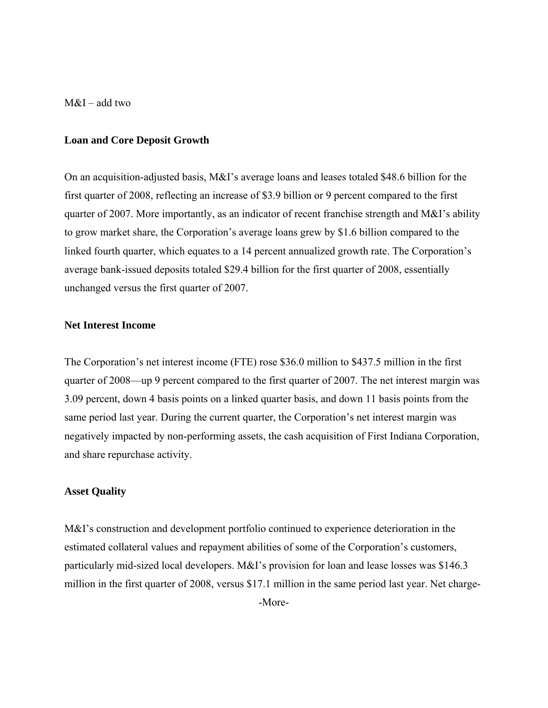M&I – add two

#### **Loan and Core Deposit Growth**

On an acquisition-adjusted basis, M&I's average loans and leases totaled \$48.6 billion for the first quarter of 2008, reflecting an increase of \$3.9 billion or 9 percent compared to the first quarter of 2007. More importantly, as an indicator of recent franchise strength and M&I's ability to grow market share, the Corporation's average loans grew by \$1.6 billion compared to the linked fourth quarter, which equates to a 14 percent annualized growth rate. The Corporation's average bank-issued deposits totaled \$29.4 billion for the first quarter of 2008, essentially unchanged versus the first quarter of 2007.

### **Net Interest Income**

The Corporation's net interest income (FTE) rose \$36.0 million to \$437.5 million in the first quarter of 2008—up 9 percent compared to the first quarter of 2007. The net interest margin was 3.09 percent, down 4 basis points on a linked quarter basis, and down 11 basis points from the same period last year. During the current quarter, the Corporation's net interest margin was negatively impacted by non-performing assets, the cash acquisition of First Indiana Corporation, and share repurchase activity.

#### **Asset Quality**

M&I's construction and development portfolio continued to experience deterioration in the estimated collateral values and repayment abilities of some of the Corporation's customers, particularly mid-sized local developers. M&I's provision for loan and lease losses was \$146.3 million in the first quarter of 2008, versus \$17.1 million in the same period last year. Net charge-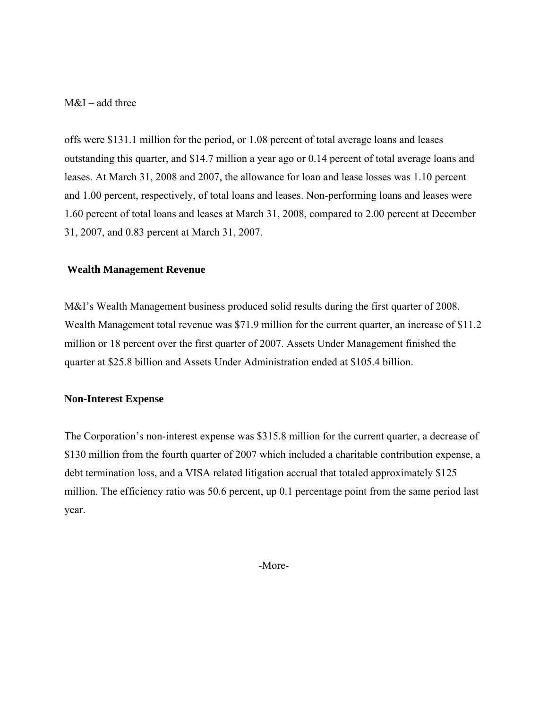## M&I – add three

offs were \$131.1 million for the period, or 1.08 percent of total average loans and leases outstanding this quarter, and \$14.7 million a year ago or 0.14 percent of total average loans and leases. At March 31, 2008 and 2007, the allowance for loan and lease losses was 1.10 percent and 1.00 percent, respectively, of total loans and leases. Non-performing loans and leases were 1.60 percent of total loans and leases at March 31, 2008, compared to 2.00 percent at December 31, 2007, and 0.83 percent at March 31, 2007.

### **Wealth Management Revenue**

M&I's Wealth Management business produced solid results during the first quarter of 2008. Wealth Management total revenue was \$71.9 million for the current quarter, an increase of \$11.2 million or 18 percent over the first quarter of 2007. Assets Under Management finished the quarter at \$25.8 billion and Assets Under Administration ended at \$105.4 billion.

## **Non-Interest Expense**

The Corporation's non-interest expense was \$315.8 million for the current quarter, a decrease of \$130 million from the fourth quarter of 2007 which included a charitable contribution expense, a debt termination loss, and a VISA related litigation accrual that totaled approximately \$125 million. The efficiency ratio was 50.6 percent, up 0.1 percentage point from the same period last year.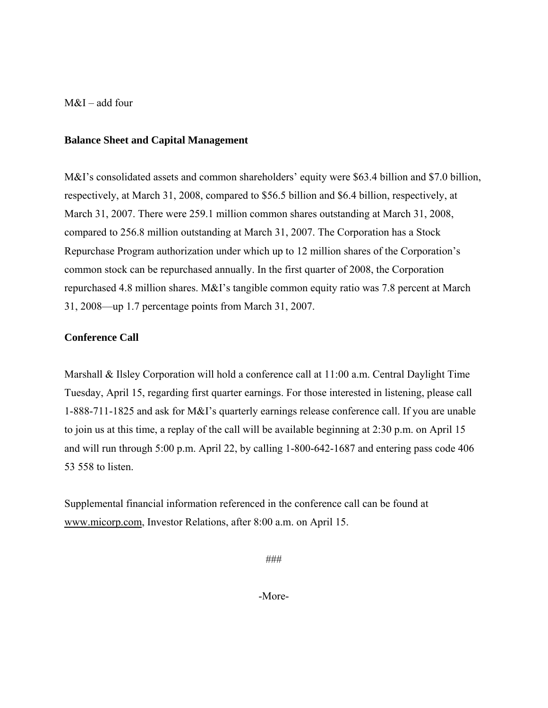M&I – add four

### **Balance Sheet and Capital Management**

M&I's consolidated assets and common shareholders' equity were \$63.4 billion and \$7.0 billion, respectively, at March 31, 2008, compared to \$56.5 billion and \$6.4 billion, respectively, at March 31, 2007. There were 259.1 million common shares outstanding at March 31, 2008, compared to 256.8 million outstanding at March 31, 2007. The Corporation has a Stock Repurchase Program authorization under which up to 12 million shares of the Corporation's common stock can be repurchased annually. In the first quarter of 2008, the Corporation repurchased 4.8 million shares. M&I's tangible common equity ratio was 7.8 percent at March 31, 2008—up 1.7 percentage points from March 31, 2007.

## **Conference Call**

Marshall & Ilsley Corporation will hold a conference call at 11:00 a.m. Central Daylight Time Tuesday, April 15, regarding first quarter earnings. For those interested in listening, please call 1-888-711-1825 and ask for M&I's quarterly earnings release conference call. If you are unable to join us at this time, a replay of the call will be available beginning at 2:30 p.m. on April 15 and will run through 5:00 p.m. April 22, by calling 1-800-642-1687 and entering pass code 406 53 558 to listen.

Supplemental financial information referenced in the conference call can be found at www.micorp.com, Investor Relations, after 8:00 a.m. on April 15.

###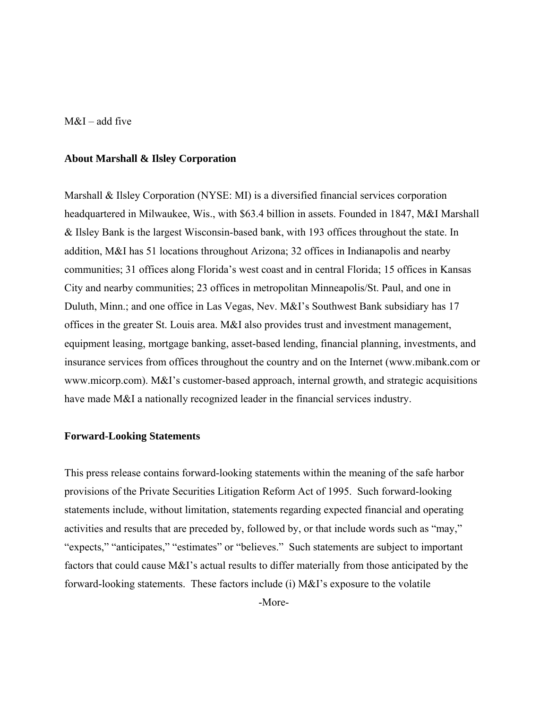$M&I$  – add five

#### **About Marshall & Ilsley Corporation**

Marshall & Ilsley Corporation (NYSE: MI) is a diversified financial services corporation headquartered in Milwaukee, Wis., with \$63.4 billion in assets. Founded in 1847, M&I Marshall & Ilsley Bank is the largest Wisconsin-based bank, with 193 offices throughout the state. In addition, M&I has 51 locations throughout Arizona; 32 offices in Indianapolis and nearby communities; 31 offices along Florida's west coast and in central Florida; 15 offices in Kansas City and nearby communities; 23 offices in metropolitan Minneapolis/St. Paul, and one in Duluth, Minn.; and one office in Las Vegas, Nev. M&I's Southwest Bank subsidiary has 17 offices in the greater St. Louis area. M&I also provides trust and investment management, equipment leasing, mortgage banking, asset-based lending, financial planning, investments, and insurance services from offices throughout the country and on the Internet (www.mibank.com or www.micorp.com). M&I's customer-based approach, internal growth, and strategic acquisitions have made M&I a nationally recognized leader in the financial services industry.

#### **Forward-Looking Statements**

This press release contains forward-looking statements within the meaning of the safe harbor provisions of the Private Securities Litigation Reform Act of 1995. Such forward-looking statements include, without limitation, statements regarding expected financial and operating activities and results that are preceded by, followed by, or that include words such as "may," "expects," "anticipates," "estimates" or "believes." Such statements are subject to important factors that could cause M&I's actual results to differ materially from those anticipated by the forward-looking statements. These factors include (i) M&I's exposure to the volatile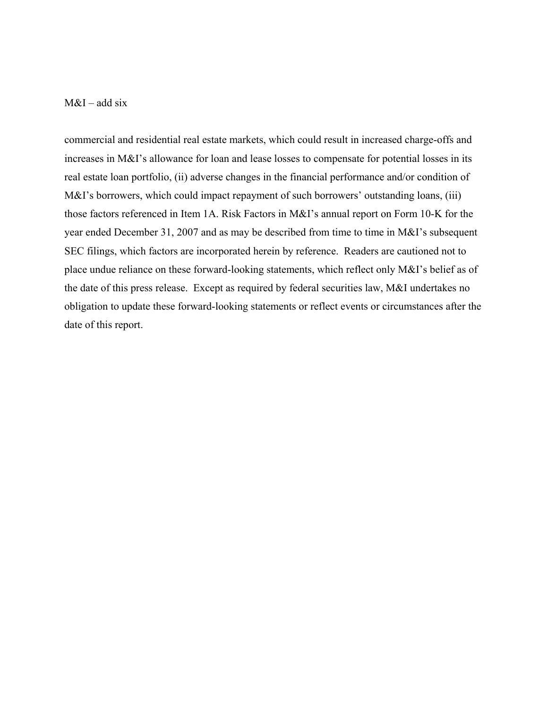## $M&I$  – add six

commercial and residential real estate markets, which could result in increased charge-offs and increases in M&I's allowance for loan and lease losses to compensate for potential losses in its real estate loan portfolio, (ii) adverse changes in the financial performance and/or condition of M&I's borrowers, which could impact repayment of such borrowers' outstanding loans, (iii) those factors referenced in Item 1A. Risk Factors in M&I's annual report on Form 10-K for the year ended December 31, 2007 and as may be described from time to time in M&I's subsequent SEC filings, which factors are incorporated herein by reference. Readers are cautioned not to place undue reliance on these forward-looking statements, which reflect only M&I's belief as of the date of this press release. Except as required by federal securities law, M&I undertakes no obligation to update these forward-looking statements or reflect events or circumstances after the date of this report.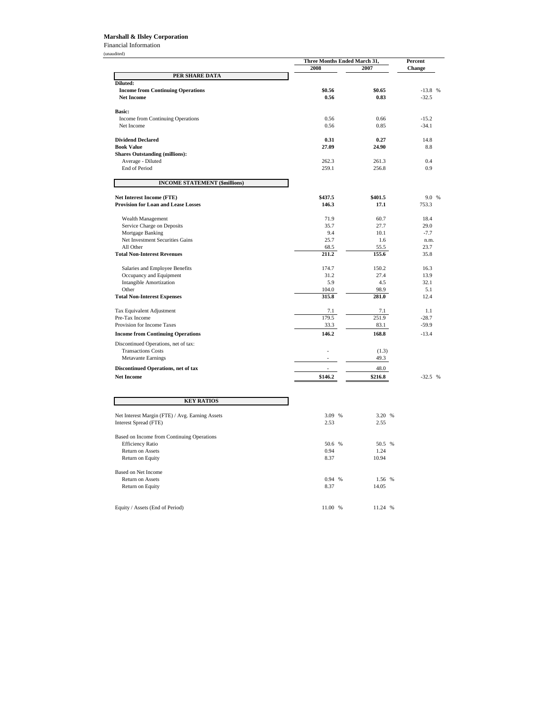#### **Marshall & Ilsley Corporation**

Financial Information

|                                                 | Three Months Ended March 31, |         | Percent   |  |
|-------------------------------------------------|------------------------------|---------|-----------|--|
|                                                 | 2008                         | 2007    | Change    |  |
| PER SHARE DATA                                  |                              |         |           |  |
| Diluted:                                        |                              |         |           |  |
| <b>Income from Continuing Operations</b>        | \$0.56                       | \$0.65  | $-13.8$ % |  |
| <b>Net Income</b>                               | 0.56                         | 0.83    | $-32.5$   |  |
| <b>Basic:</b>                                   |                              |         |           |  |
| Income from Continuing Operations               | 0.56                         | 0.66    | $-15.2$   |  |
| Net Income                                      | 0.56                         | 0.85    | $-34.1$   |  |
| <b>Dividend Declared</b>                        | 0.31                         | 0.27    | 14.8      |  |
| <b>Book Value</b>                               | 27.09                        | 24.90   | 8.8       |  |
| <b>Shares Outstanding (millions):</b>           |                              |         |           |  |
| Average - Diluted                               | 262.3                        | 261.3   | 0.4       |  |
| <b>End of Period</b>                            | 259.1                        | 256.8   | 0.9       |  |
| <b>INCOME STATEMENT (\$millions)</b>            |                              |         |           |  |
| Net Interest Income (FTE)                       | \$437.5                      | \$401.5 | 9.0 %     |  |
| <b>Provision for Loan and Lease Losses</b>      | 146.3                        | 17.1    | 753.3     |  |
| Wealth Management                               | 71.9                         | 60.7    | 18.4      |  |
| Service Charge on Deposits                      | 35.7                         | 27.7    | 29.0      |  |
| Mortgage Banking                                | 9.4                          | 10.1    | $-7.7$    |  |
| Net Investment Securities Gains                 | 25.7                         | 1.6     | n.m.      |  |
| All Other                                       | 68.5                         | 55.5    | 23.7      |  |
| <b>Total Non-Interest Revenues</b>              | 211.2                        | 155.6   | 35.8      |  |
| Salaries and Employee Benefits                  | 174.7                        | 150.2   | 16.3      |  |
| Occupancy and Equipment                         | 31.2                         | 27.4    | 13.9      |  |
| <b>Intangible Amortization</b>                  | 5.9                          | 4.5     | 32.1      |  |
| Other                                           | 104.0                        | 98.9    | 5.1       |  |
| <b>Total Non-Interest Expenses</b>              | 315.8                        | 281.0   | 12.4      |  |
| Tax Equivalent Adjustment                       | 7.1                          | 7.1     | 1.1       |  |
| Pre-Tax Income                                  | 179.5                        | 251.9   | $-28.7$   |  |
| Provision for Income Taxes                      | 33.3                         | 83.1    | $-59.9$   |  |
| <b>Income from Continuing Operations</b>        | 146.2                        | 168.8   | $-13.4$   |  |
| Discontinued Operations, net of tax:            |                              |         |           |  |
| <b>Transactions Costs</b>                       |                              | (1.3)   |           |  |
| <b>Metavante Earnings</b>                       |                              | 49.3    |           |  |
| Discontinued Operations, net of tax             | L,                           | 48.0    |           |  |
| <b>Net Income</b>                               | \$146.2                      | \$216.8 | $-32.5$ % |  |
|                                                 |                              |         |           |  |
| <b>KEY RATIOS</b>                               |                              |         |           |  |
| Net Interest Margin (FTE) / Avg. Earning Assets | 3.09 %                       | 3.20 %  |           |  |
| Interest Spread (FTE)                           | 2.53                         | 2.55    |           |  |
|                                                 |                              |         |           |  |
| Based on Income from Continuing Operations      |                              |         |           |  |

| Based on Income from Continuing Operations |              |            |
|--------------------------------------------|--------------|------------|
| <b>Efficiency Ratio</b>                    | 50.6 %       | 50.5 %     |
| <b>Return on Assets</b>                    | 0.94         | 1.24       |
| Return on Equity                           | 8.37         | 10.94      |
| Based on Net Income                        |              |            |
| <b>Return on Assets</b>                    | 0.94<br>$\%$ | 1.56 %     |
| Return on Equity                           | 8.37         | 14.05      |
| Equity / Assets (End of Period)            | 11.00<br>%   | 11.24<br>% |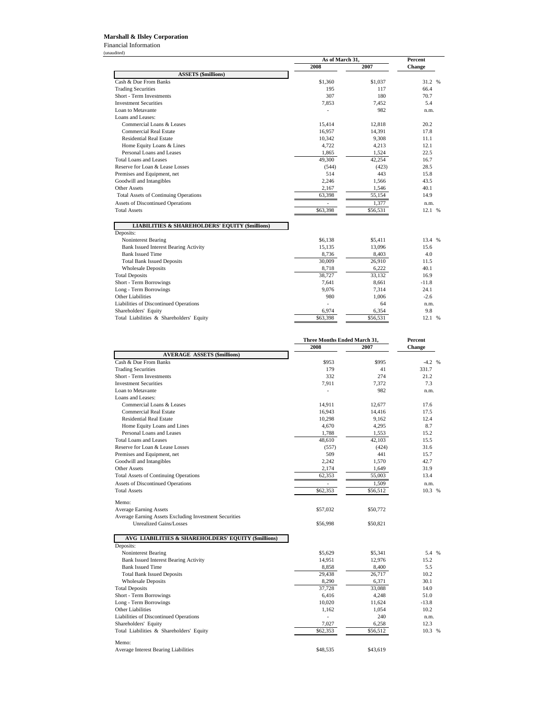Financial Information (unaudited)

|                                              | As of March 31, |          | <b>Percent</b> |
|----------------------------------------------|-----------------|----------|----------------|
|                                              | 2008            | 2007     | <b>Change</b>  |
| <b>ASSETS (\$millions)</b>                   |                 |          |                |
| Cash & Due From Banks                        | \$1,360         | \$1,037  | 31.2 %         |
| <b>Trading Securities</b>                    | 195             | 117      | 66.4           |
| Short - Term Investments                     | 307             | 180      | 70.7           |
| <b>Investment Securities</b>                 | 7,853           | 7,452    | 5.4            |
| Loan to Metavante                            |                 | 982      | n.m.           |
| Loans and Leases:                            |                 |          |                |
| Commercial Loans & Leases                    | 15,414          | 12,818   | 20.2           |
| Commercial Real Estate                       | 16,957          | 14,391   | 17.8           |
| <b>Residential Real Estate</b>               | 10,342          | 9,308    | 11.1           |
| Home Equity Loans & Lines                    | 4,722           | 4,213    | 12.1           |
| Personal Loans and Leases                    | 1,865           | 1,524    | 22.5           |
| Total Loans and Leases                       | 49,300          | 42,254   | 16.7           |
| Reserve for Loan & Lease Losses              | (544)           | (423)    | 28.5           |
| Premises and Equipment, net                  | 514             | 443      | 15.8           |
| Goodwill and Intangibles                     | 2,246           | 1,566    | 43.5           |
| Other Assets                                 | 2,167           | 1,546    | 40.1           |
| <b>Total Assets of Continuing Operations</b> | 63,398          | 55,154   | 14.9           |
| Assets of Discontinued Operations            | $\overline{a}$  | 1,377    | n.m.           |
| <b>Total Assets</b>                          | \$63,398        | \$56,531 | 12.1 %         |

#### **LIABILITIES & SHAREHOLDERS' EQUITY (\$millions)**

| Deposits:                                |          |          |         |
|------------------------------------------|----------|----------|---------|
| Noninterest Bearing                      | \$6.138  | \$5.411  | 13.4 %  |
| Bank Issued Interest Bearing Activity    | 15,135   | 13.096   | 15.6    |
| <b>Bank Issued Time</b>                  | 8,736    | 8,403    | 4.0     |
| <b>Total Bank Issued Deposits</b>        | 30,009   | 26,910   | 11.5    |
| <b>Wholesale Deposits</b>                | 8,718    | 6,222    | 40.1    |
| <b>Total Deposits</b>                    | 38,727   | 33,132   | 16.9    |
| Short - Term Borrowings                  | 7.641    | 8.661    | $-11.8$ |
| Long - Term Borrowings                   | 9.076    | 7.314    | 24.1    |
| Other Liabilities                        | 980      | 1.006    | $-2.6$  |
| Liabilities of Discontinued Operations   |          | 64       | n.m.    |
| Shareholders' Equity                     | 6.974    | 6,354    | 9.8     |
| Total Liabilities & Shareholders' Equity | \$63,398 | \$56,531 | 12.1 %  |

|                                                                  | Three Months Ended March 31, |          | <b>Percent</b> |
|------------------------------------------------------------------|------------------------------|----------|----------------|
|                                                                  | 2008                         | 2007     | Change         |
| <b>AVERAGE ASSETS (\$millions)</b>                               |                              |          |                |
| Cash & Due From Banks                                            | \$953                        | \$995    | $-4.2$ %       |
| <b>Trading Securities</b>                                        | 179                          | 41       | 331.7          |
| Short - Term Investments                                         | 332                          | 274      | 21.2           |
| <b>Investment Securities</b>                                     | 7,911                        | 7,372    | 7.3            |
| Loan to Metavante                                                |                              | 982      | n.m.           |
| Loans and Leases:                                                |                              |          |                |
| Commercial Loans & Leases                                        | 14,911                       | 12,677   | 17.6           |
| <b>Commercial Real Estate</b>                                    | 16,943                       | 14,416   | 17.5           |
| <b>Residential Real Estate</b>                                   | 10,298                       | 9,162    | 12.4           |
| Home Equity Loans and Lines                                      | 4,670                        | 4,295    | 8.7            |
| Personal Loans and Leases                                        | 1,788                        | 1,553    | 15.2           |
| <b>Total Loans and Leases</b>                                    | 48,610                       | 42.103   | 15.5           |
| Reserve for Loan & Lease Losses                                  | (557)                        | (424)    | 31.6           |
| Premises and Equipment, net                                      | 509                          | 441      | 15.7           |
| Goodwill and Intangibles                                         | 2,242                        | 1,570    | 42.7           |
| <b>Other Assets</b>                                              | 2,174                        | 1,649    | 31.9           |
| <b>Total Assets of Continuing Operations</b>                     | 62,353                       | 55,003   | 13.4           |
| Assets of Discontinued Operations                                | $\overline{a}$               | 1.509    | n.m.           |
| <b>Total Assets</b>                                              | \$62,353                     | \$56,512 | 10.3 %         |
|                                                                  |                              |          |                |
| Memo:                                                            |                              |          |                |
| <b>Average Earning Assets</b>                                    | \$57,032                     | \$50,772 |                |
| Average Earning Assets Excluding Investment Securities           |                              |          |                |
| <b>Unrealized Gains/Losses</b>                                   | \$56,998                     | \$50,821 |                |
|                                                                  |                              |          |                |
| AVG LIABILITIES & SHAREHOLDERS' EQUITY (\$millions)<br>Deposits: |                              |          |                |
| Noninterest Bearing                                              | \$5,629                      | \$5,341  | 5.4 %          |
| <b>Bank Issued Interest Bearing Activity</b>                     | 14,951                       | 12,976   | 15.2           |
| <b>Bank Issued Time</b>                                          | 8,858                        | 8,400    | 5.5            |
| <b>Total Bank Issued Deposits</b>                                | 29,438                       | 26,717   | 10.2           |
| <b>Wholesale Deposits</b>                                        | 8,290                        | 6,371    | 30.1           |
| <b>Total Deposits</b>                                            | 37,728                       | 33,088   | 14.0           |
| Short - Term Borrowings                                          | 6,416                        | 4,248    | 51.0           |
| Long - Term Borrowings                                           | 10,020                       | 11,624   | $-13.8$        |
| Other Liabilities                                                | 1,162                        | 1,054    | 10.2           |
| Liabilities of Discontinued Operations                           |                              | 240      | n.m.           |
| Shareholders' Equity                                             | 7,027                        | 6,258    | 12.3           |
| Total Liabilities & Shareholders' Equity                         | \$62,353                     | \$56,512 | 10.3 %         |
|                                                                  |                              |          |                |
| Memo:                                                            |                              |          |                |
| <b>Average Interest Bearing Liabilities</b>                      | \$48,535                     | \$43,619 |                |